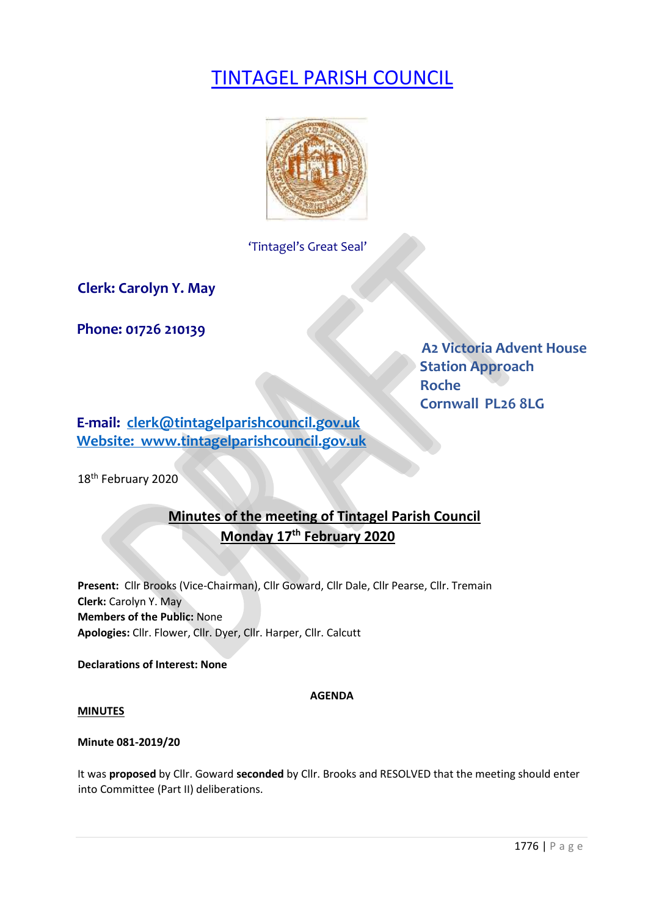# TINTAGEL PARISH COUNCIL



'Tintagel's Great Seal'

**Clerk: Carolyn Y. May** 

**Phone: 01726 210139** 

**A2 Victoria Advent House Station Approach**  *Roche* Roche  **Cornwall PL26 8LG** 

**E-mail: clerk@tintagelparishcouncil.gov.uk Website: www.tintagelparishcouncil.gov.uk**

18<sup>th</sup> February 2020

# **Minutes of the meeting of Tintagel Parish Council Monday 17th February 2020**

**Present:** Cllr Brooks (Vice-Chairman), Cllr Goward, Cllr Dale, Cllr Pearse, Cllr. Tremain **Clerk:** Carolyn Y. May **Members of the Public:** None **Apologies:** Cllr. Flower, Cllr. Dyer, Cllr. Harper, Cllr. Calcutt

**Declarations of Interest: None**

## **AGENDA**

#### **MINUTES**

# **Minute 081-2019/20**

It was **proposed** by Cllr. Goward **seconded** by Cllr. Brooks and RESOLVED that the meeting should enter into Committee (Part II) deliberations.